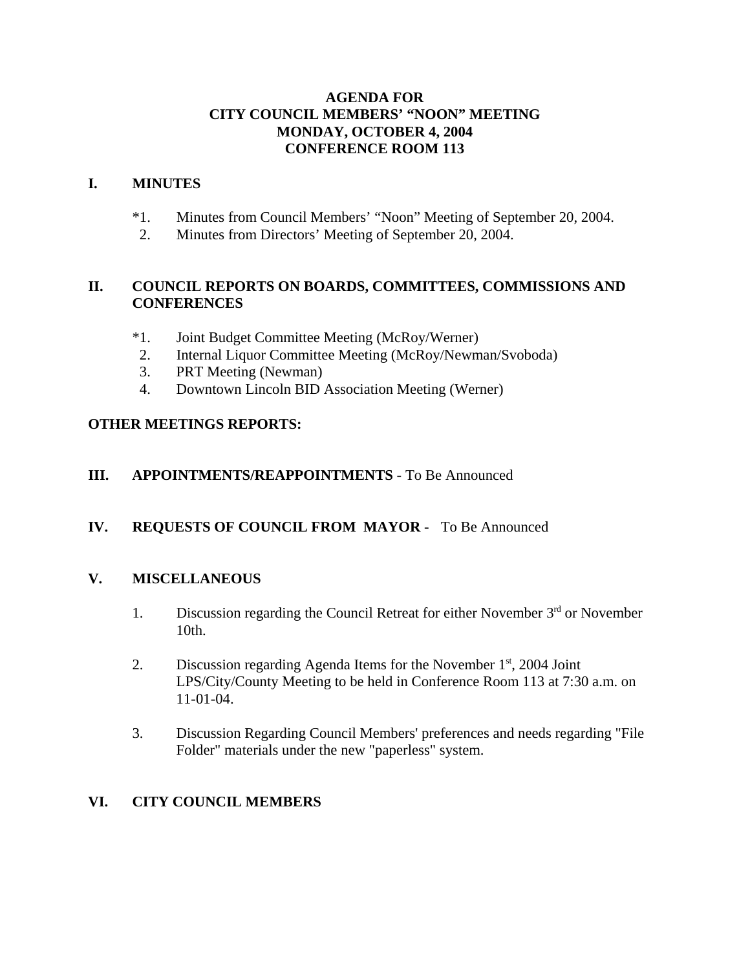### **AGENDA FOR CITY COUNCIL MEMBERS' "NOON" MEETING MONDAY, OCTOBER 4, 2004 CONFERENCE ROOM 113**

### **I. MINUTES**

- \*1. Minutes from Council Members' "Noon" Meeting of September 20, 2004.
- 2. Minutes from Directors' Meeting of September 20, 2004.

# **II. COUNCIL REPORTS ON BOARDS, COMMITTEES, COMMISSIONS AND CONFERENCES**

- \*1. Joint Budget Committee Meeting (McRoy/Werner)
- 2. Internal Liquor Committee Meeting (McRoy/Newman/Svoboda)
- 3. PRT Meeting (Newman)
- 4. Downtown Lincoln BID Association Meeting (Werner)

# **OTHER MEETINGS REPORTS:**

## **III. APPOINTMENTS/REAPPOINTMENTS** - To Be Announced

## **IV. REQUESTS OF COUNCIL FROM MAYOR -** To Be Announced

## **V. MISCELLANEOUS**

- 1. Discussion regarding the Council Retreat for either November  $3<sup>rd</sup>$  or November 10th.
- 2. Discussion regarding Agenda Items for the November  $1<sup>st</sup>$ , 2004 Joint LPS/City/County Meeting to be held in Conference Room 113 at 7:30 a.m. on 11-01-04.
- 3. Discussion Regarding Council Members' preferences and needs regarding "File Folder" materials under the new "paperless" system.

## **VI. CITY COUNCIL MEMBERS**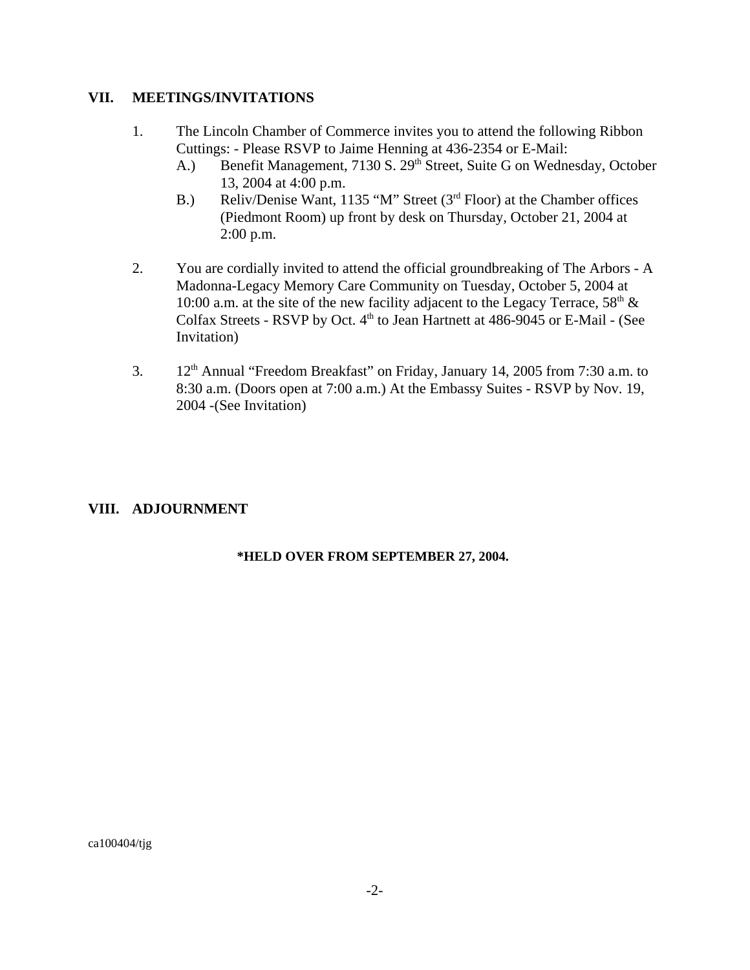### **VII. MEETINGS/INVITATIONS**

- 1. The Lincoln Chamber of Commerce invites you to attend the following Ribbon Cuttings: - Please RSVP to Jaime Henning at 436-2354 or E-Mail:
	- A.) Benefit Management, 7130 S. 29<sup>th</sup> Street, Suite G on Wednesday, October 13, 2004 at 4:00 p.m.
	- B.) Reliv/Denise Want, 1135 "M" Street (3<sup>rd</sup> Floor) at the Chamber offices (Piedmont Room) up front by desk on Thursday, October 21, 2004 at 2:00 p.m.
- 2. You are cordially invited to attend the official groundbreaking of The Arbors A Madonna-Legacy Memory Care Community on Tuesday, October 5, 2004 at 10:00 a.m. at the site of the new facility adjacent to the Legacy Terrace,  $58<sup>th</sup>$  & Colfax Streets - RSVP by Oct.  $4<sup>th</sup>$  to Jean Hartnett at 486-9045 or E-Mail - (See Invitation)
- 3.  $12<sup>th</sup>$  Annual "Freedom Breakfast" on Friday, January 14, 2005 from 7:30 a.m. to 8:30 a.m. (Doors open at 7:00 a.m.) At the Embassy Suites - RSVP by Nov. 19, 2004 -(See Invitation)

## **VIII. ADJOURNMENT**

#### **\*HELD OVER FROM SEPTEMBER 27, 2004.**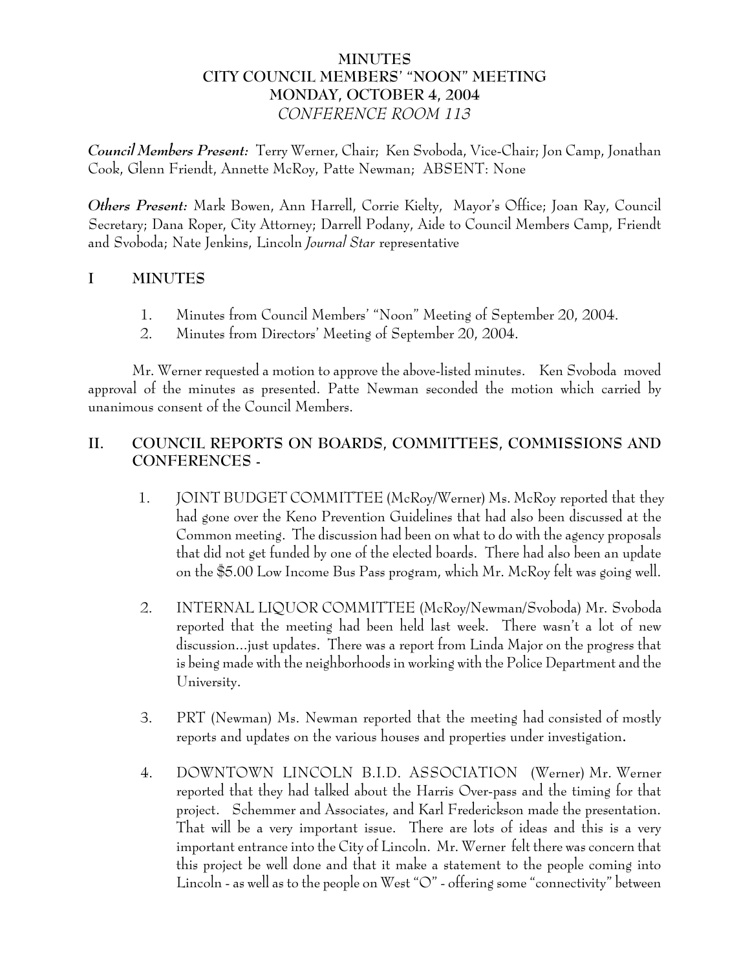# **MINUTES CITY COUNCIL MEMBERS' "NOON" MEETING MONDAY, OCTOBER 4, 2004** *CONFERENCE ROOM 113*

*Council Members Present:* Terry Werner, Chair; Ken Svoboda, Vice-Chair; Jon Camp, Jonathan Cook, Glenn Friendt, Annette McRoy, Patte Newman; ABSENT: None

*Others Present:* Mark Bowen, Ann Harrell, Corrie Kielty, Mayor's Office; Joan Ray, Council Secretary; Dana Roper, City Attorney; Darrell Podany, Aide to Council Members Camp, Friendt and Svoboda; Nate Jenkins, Lincoln *Journal Star* representative

# **I MINUTES**

- 1. Minutes from Council Members' "Noon" Meeting of September 20, 2004.
- 2. Minutes from Directors' Meeting of September 20, 2004.

Mr. Werner requested a motion to approve the above-listed minutes. Ken Svoboda moved approval of the minutes as presented. Patte Newman seconded the motion which carried by unanimous consent of the Council Members.

# **II. COUNCIL REPORTS ON BOARDS, COMMITTEES, COMMISSIONS AND CONFERENCES -**

- 1. JOINT BUDGET COMMITTEE (McRoy/Werner) Ms. McRoy reported that they had gone over the Keno Prevention Guidelines that had also been discussed at the Common meeting. The discussion had been on what to do with the agency proposals that did not get funded by one of the elected boards. There had also been an update on the \$5.00 Low Income Bus Pass program, which Mr. McRoy felt was going well.
- 2. INTERNAL LIQUOR COMMITTEE (McRoy/Newman/Svoboda) Mr. Svoboda reported that the meeting had been held last week. There wasn't a lot of new discussion...just updates. There was a report from Linda Major on the progress that is being made with the neighborhoods in working with the Police Department and the University.
- 3. PRT (Newman) Ms. Newman reported that the meeting had consisted of mostly reports and updates on the various houses and properties under investigation**.**
- 4. DOWNTOWN LINCOLN B.I.D. ASSOCIATION (Werner) Mr. Werner reported that they had talked about the Harris Over-pass and the timing for that project. Schemmer and Associates, and Karl Frederickson made the presentation. That will be a very important issue. There are lots of ideas and this is a very important entrance into the City of Lincoln. Mr. Werner felt there was concern that this project be well done and that it make a statement to the people coming into Lincoln - as well as to the people on West "O" - offering some "connectivity" between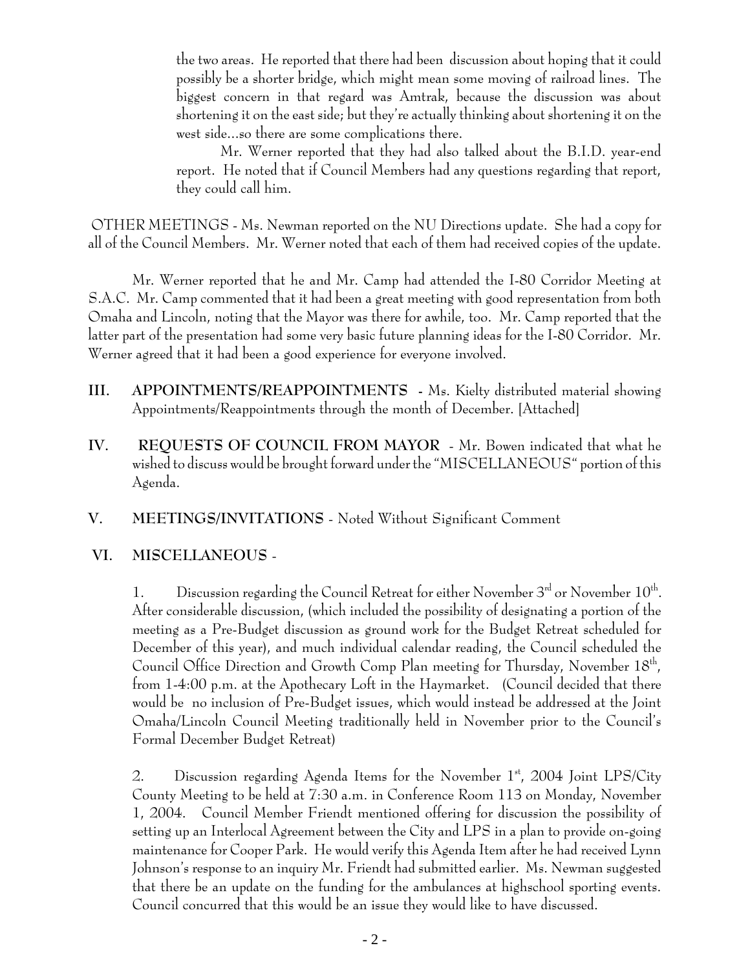the two areas. He reported that there had been discussion about hoping that it could possibly be a shorter bridge, which might mean some moving of railroad lines. The biggest concern in that regard was Amtrak, because the discussion was about shortening it on the east side; but they're actually thinking about shortening it on the west side...so there are some complications there.

Mr. Werner reported that they had also talked about the B.I.D. year-end report. He noted that if Council Members had any questions regarding that report, they could call him.

 OTHER MEETINGS - Ms. Newman reported on the NU Directions update. She had a copy for all of the Council Members. Mr. Werner noted that each of them had received copies of the update.

Mr. Werner reported that he and Mr. Camp had attended the I-80 Corridor Meeting at S.A.C. Mr. Camp commented that it had been a great meeting with good representation from both Omaha and Lincoln, noting that the Mayor was there for awhile, too. Mr. Camp reported that the latter part of the presentation had some very basic future planning ideas for the I-80 Corridor. Mr. Werner agreed that it had been a good experience for everyone involved.

- **III. APPOINTMENTS/REAPPOINTMENTS -** Ms. Kielty distributed material showing Appointments/Reappointments through the month of December. [Attached]
- **IV. REQUESTS OF COUNCIL FROM MAYOR** Mr. Bowen indicated that what he wished to discuss would be brought forward under the "MISCELLANEOUS" portion of this Agenda.
- **V. MEETINGS/INVITATIONS** Noted Without Significant Comment

# **VI. MISCELLANEOUS** -

1. Discussion regarding the Council Retreat for either November  $3<sup>rd</sup>$  or November  $10<sup>th</sup>$ . After considerable discussion, (which included the possibility of designating a portion of the meeting as a Pre-Budget discussion as ground work for the Budget Retreat scheduled for December of this year), and much individual calendar reading, the Council scheduled the Council Office Direction and Growth Comp Plan meeting for Thursday, November 18<sup>th</sup>, from 1-4:00 p.m. at the Apothecary Loft in the Haymarket. (Council decided that there would be no inclusion of Pre-Budget issues, which would instead be addressed at the Joint Omaha/Lincoln Council Meeting traditionally held in November prior to the Council's Formal December Budget Retreat)

2. Discussion regarding Agenda Items for the November  $1<sup>st</sup>$ , 2004 Joint LPS/City County Meeting to be held at 7:30 a.m. in Conference Room 113 on Monday, November 1, 2004. Council Member Friendt mentioned offering for discussion the possibility of setting up an Interlocal Agreement between the City and LPS in a plan to provide on-going maintenance for Cooper Park. He would verify this Agenda Item after he had received Lynn Johnson's response to an inquiry Mr. Friendt had submitted earlier. Ms. Newman suggested that there be an update on the funding for the ambulances at highschool sporting events. Council concurred that this would be an issue they would like to have discussed.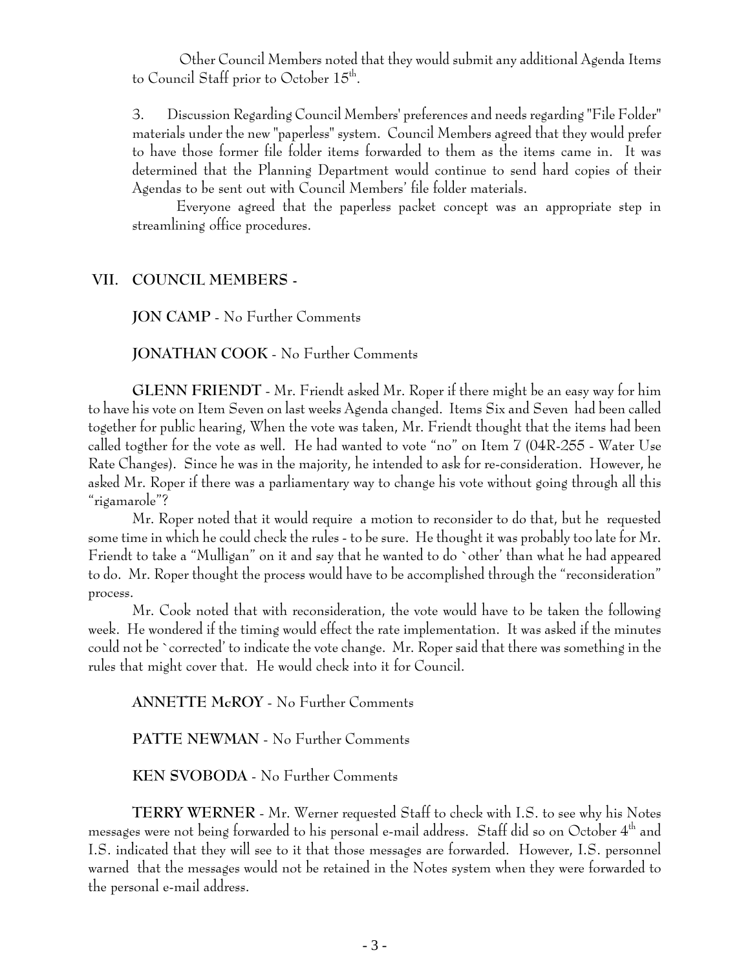Other Council Members noted that they would submit any additional Agenda Items to Council Staff prior to October 15<sup>th</sup>.

3. Discussion Regarding Council Members' preferences and needs regarding "File Folder" materials under the new "paperless" system. Council Members agreed that they would prefer to have those former file folder items forwarded to them as the items came in. It was determined that the Planning Department would continue to send hard copies of their Agendas to be sent out with Council Members' file folder materials.

Everyone agreed that the paperless packet concept was an appropriate step in streamlining office procedures.

#### **VII. COUNCIL MEMBERS -**

**JON CAMP** - No Further Comments

**JONATHAN COOK** - No Further Comments

**GLENN FRIENDT** - Mr. Friendt asked Mr. Roper if there might be an easy way for him to have his vote on Item Seven on last weeks Agenda changed. Items Six and Seven had been called together for public hearing, When the vote was taken, Mr. Friendt thought that the items had been called togther for the vote as well. He had wanted to vote "no" on Item 7 (04R-255 - Water Use Rate Changes). Since he was in the majority, he intended to ask for re-consideration. However, he asked Mr. Roper if there was a parliamentary way to change his vote without going through all this "rigamarole"?

Mr. Roper noted that it would require a motion to reconsider to do that, but he requested some time in which he could check the rules - to be sure. He thought it was probably too late for Mr. Friendt to take a "Mulligan" on it and say that he wanted to do `other' than what he had appeared to do. Mr. Roper thought the process would have to be accomplished through the "reconsideration" process.

Mr. Cook noted that with reconsideration, the vote would have to be taken the following week. He wondered if the timing would effect the rate implementation. It was asked if the minutes could not be `corrected' to indicate the vote change. Mr. Roper said that there was something in the rules that might cover that. He would check into it for Council.

**ANNETTE McROY** - No Further Comments

**PATTE NEWMAN** - No Further Comments

**KEN SVOBODA** - No Further Comments

**TERRY WERNER** - Mr. Werner requested Staff to check with I.S. to see why his Notes messages were not being forwarded to his personal e-mail address. Staff did so on October 4th and I.S. indicated that they will see to it that those messages are forwarded. However, I.S. personnel warned that the messages would not be retained in the Notes system when they were forwarded to the personal e-mail address.